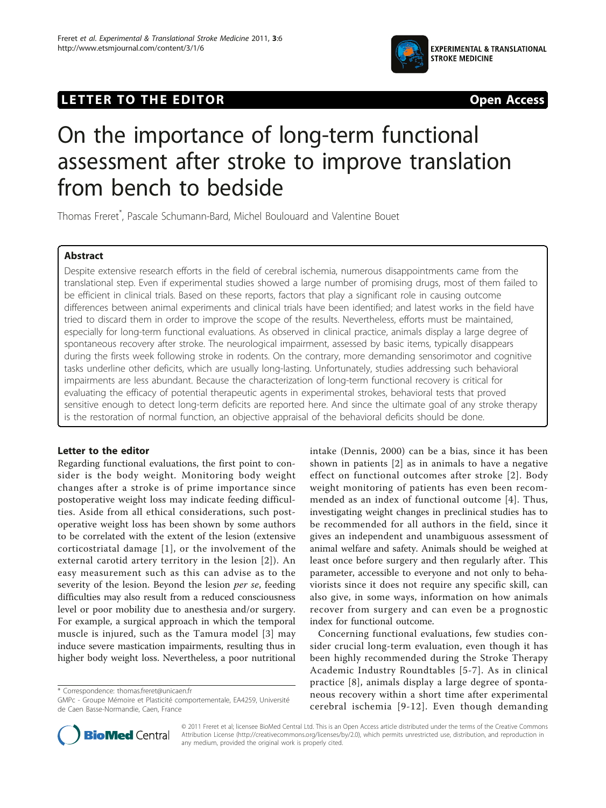



# On the importance of long-term functional assessment after stroke to improve translation from bench to bedside

Thomas Freret\* , Pascale Schumann-Bard, Michel Boulouard and Valentine Bouet

# Abstract

Despite extensive research efforts in the field of cerebral ischemia, numerous disappointments came from the translational step. Even if experimental studies showed a large number of promising drugs, most of them failed to be efficient in clinical trials. Based on these reports, factors that play a significant role in causing outcome differences between animal experiments and clinical trials have been identified; and latest works in the field have tried to discard them in order to improve the scope of the results. Nevertheless, efforts must be maintained, especially for long-term functional evaluations. As observed in clinical practice, animals display a large degree of spontaneous recovery after stroke. The neurological impairment, assessed by basic items, typically disappears during the firsts week following stroke in rodents. On the contrary, more demanding sensorimotor and cognitive tasks underline other deficits, which are usually long-lasting. Unfortunately, studies addressing such behavioral impairments are less abundant. Because the characterization of long-term functional recovery is critical for evaluating the efficacy of potential therapeutic agents in experimental strokes, behavioral tests that proved sensitive enough to detect long-term deficits are reported here. And since the ultimate goal of any stroke therapy is the restoration of normal function, an objective appraisal of the behavioral deficits should be done.

# Letter to the editor

Regarding functional evaluations, the first point to consider is the body weight. Monitoring body weight changes after a stroke is of prime importance since postoperative weight loss may indicate feeding difficulties. Aside from all ethical considerations, such postoperative weight loss has been shown by some authors to be correlated with the extent of the lesion (extensive corticostriatal damage [[1](#page-2-0)], or the involvement of the external carotid artery territory in the lesion [[2](#page-3-0)]). An easy measurement such as this can advise as to the severity of the lesion. Beyond the lesion per se, feeding difficulties may also result from a reduced consciousness level or poor mobility due to anesthesia and/or surgery. For example, a surgical approach in which the temporal muscle is injured, such as the Tamura model [[3](#page-3-0)] may induce severe mastication impairments, resulting thus in higher body weight loss. Nevertheless, a poor nutritional

\* Correspondence: [thomas.freret@unicaen.fr](mailto:thomas.freret@unicaen.fr)

GMPc - Groupe Mémoire et Plasticité comportementale, EA4259, Université de Caen Basse-Normandie, Caen, France



Concerning functional evaluations, few studies consider crucial long-term evaluation, even though it has been highly recommended during the Stroke Therapy Academic Industry Roundtables [[5](#page-3-0)-[7\]](#page-3-0). As in clinical practice [[8\]](#page-3-0), animals display a large degree of spontaneous recovery within a short time after experimental cerebral ischemia [[9-12](#page-3-0)]. Even though demanding



© 2011 Freret et al; licensee BioMed Central Ltd. This is an Open Access article distributed under the terms of the Creative Commons Attribution License [\(http://creativecommons.org/licenses/by/2.0](http://creativecommons.org/licenses/by/2.0)), which permits unrestricted use, distribution, and reproduction in any medium, provided the original work is properly cited.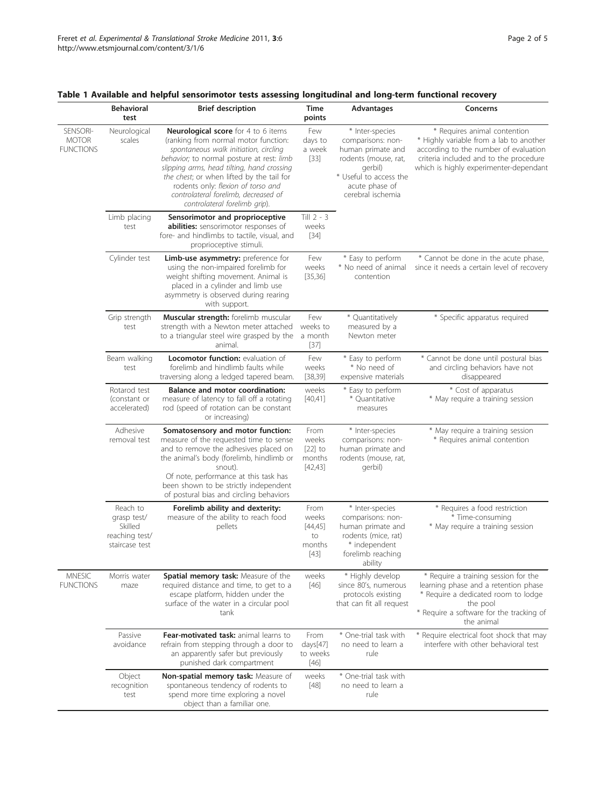<span id="page-1-0"></span>

| Table 1 Available and helpful sensorimotor tests assessing longitudinal and long-term functional recovery |  |  |
|-----------------------------------------------------------------------------------------------------------|--|--|
|                                                                                                           |  |  |

|                                              | <b>Behavioral</b><br>test                                              | <b>Brief description</b>                                                                                                                                                                                                                                                                                                                                                           | Time<br>points                                      | Advantages                                                                                                                                                    | Concerns                                                                                                                                                                                             |
|----------------------------------------------|------------------------------------------------------------------------|------------------------------------------------------------------------------------------------------------------------------------------------------------------------------------------------------------------------------------------------------------------------------------------------------------------------------------------------------------------------------------|-----------------------------------------------------|---------------------------------------------------------------------------------------------------------------------------------------------------------------|------------------------------------------------------------------------------------------------------------------------------------------------------------------------------------------------------|
| SENSORI-<br><b>MOTOR</b><br><b>FUNCTIONS</b> | Neurological<br>scales                                                 | <b>Neurological score</b> for 4 to 6 items<br>(ranking from normal motor function:<br>spontaneous walk initiation, circling<br>behavior; to normal posture at rest: limb<br>slipping arms, head tilting, hand crossing<br>the chest; or when lifted by the tail for<br>rodents only: flexion of torso and<br>controlateral forelimb, decreased of<br>controlateral forelimb grip). | Few<br>days to<br>a week<br>$[33]$                  | * Inter-species<br>comparisons: non-<br>human primate and<br>rodents (mouse, rat,<br>qerbil)<br>* Useful to access the<br>acute phase of<br>cerebral ischemia | * Requires animal contention<br>* Highly variable from a lab to another<br>according to the number of evaluation<br>criteria included and to the procedure<br>which is highly experimenter-dependant |
|                                              | Limb placing<br>test                                                   | Sensorimotor and proprioceptive<br>abilities: sensorimotor responses of<br>fore- and hindlimbs to tactile, visual, and<br>proprioceptive stimuli.                                                                                                                                                                                                                                  | Till $2 - 3$<br>weeks<br>$[34]$                     |                                                                                                                                                               |                                                                                                                                                                                                      |
|                                              | Cylinder test                                                          | Limb-use asymmetry: preference for<br>using the non-impaired forelimb for<br>weight shifting movement. Animal is<br>placed in a cylinder and limb use<br>asymmetry is observed during rearing<br>with support.                                                                                                                                                                     | Few<br>weeks<br>[35, 36]                            | * Easy to perform<br>* No need of animal<br>contention                                                                                                        | * Cannot be done in the acute phase,<br>since it needs a certain level of recovery                                                                                                                   |
|                                              | Grip strength<br>test                                                  | Muscular strength: forelimb muscular<br>strength with a Newton meter attached<br>to a triangular steel wire grasped by the<br>animal.                                                                                                                                                                                                                                              | Few<br>weeks to<br>a month<br>[37]                  | * Quantitatively<br>measured by a<br>Newton meter                                                                                                             | * Specific apparatus required                                                                                                                                                                        |
|                                              | Beam walking<br>test                                                   | <b>Locomotor function: evaluation of</b><br>forelimb and hindlimb faults while<br>traversing along a ledged tapered beam.                                                                                                                                                                                                                                                          | Few<br>weeks<br>[38, 39]                            | * Easy to perform<br>* No need of<br>expensive materials                                                                                                      | * Cannot be done until postural bias<br>and circling behaviors have not<br>disappeared                                                                                                               |
|                                              | Rotarod test<br>(constant or<br>accelerated)                           | Balance and motor coordination:<br>measure of latency to fall off a rotating<br>rod (speed of rotation can be constant<br>or increasing)                                                                                                                                                                                                                                           | weeks<br>[40, 41]                                   | * Easy to perform<br>* Quantitative<br>measures                                                                                                               | * Cost of apparatus<br>* May require a training session                                                                                                                                              |
|                                              | Adhesive<br>removal test                                               | Somatosensory and motor function:<br>measure of the requested time to sense<br>and to remove the adhesives placed on<br>the animal's body (forelimb, hindlimb or<br>snout).<br>Of note, performance at this task has<br>been shown to be strictly independent<br>of postural bias and circling behaviors                                                                           | From<br>weeks<br>$[22]$ to<br>months<br>[42, 43]    | * Inter-species<br>comparisons: non-<br>human primate and<br>rodents (mouse, rat,<br>gerbil)                                                                  | * May require a training session<br>* Requires animal contention                                                                                                                                     |
|                                              | Reach to<br>grasp test/<br>Skilled<br>reaching test/<br>staircase test | Forelimb ability and dexterity:<br>measure of the ability to reach food<br>pellets                                                                                                                                                                                                                                                                                                 | From<br>weeks<br>[44, 45]<br>to<br>months<br>$[43]$ | * Inter-species<br>comparisons: non-<br>human primate and<br>rodents (mice, rat)<br>* independent<br>forelimb reaching<br>ability                             | * Requires a food restriction<br>* Time-consuming<br>* May require a training session                                                                                                                |
| <b>MNESIC</b><br><b>FUNCTIONS</b>            | Morris water<br>maze                                                   | Spatial memory task: Measure of the<br>required distance and time, to get to a<br>escape platform, hidden under the<br>surface of the water in a circular pool<br>tank                                                                                                                                                                                                             | weeks<br>$[46]$                                     | * Highly develop<br>since 80's, numerous<br>protocols existing<br>that can fit all request                                                                    | * Require a training session for the<br>learning phase and a retention phase<br>* Require a dedicated room to lodge<br>the pool<br>* Require a software for the tracking of<br>the animal            |
|                                              | Passive<br>avoidance                                                   | Fear-motivated task: animal learns to<br>refrain from stepping through a door to<br>an apparently safer but previously<br>punished dark compartment                                                                                                                                                                                                                                | From<br>days[47]<br>to weeks<br>$[46]$              | * One-trial task with<br>no need to learn a<br>rule                                                                                                           | * Require electrical foot shock that may<br>interfere with other behavioral test                                                                                                                     |
|                                              | Object<br>recognition<br>test                                          | Non-spatial memory task: Measure of<br>spontaneous tendency of rodents to<br>spend more time exploring a novel<br>object than a familiar one.                                                                                                                                                                                                                                      | weeks<br>$[48]$                                     | * One-trial task with<br>no need to learn a<br>rule                                                                                                           |                                                                                                                                                                                                      |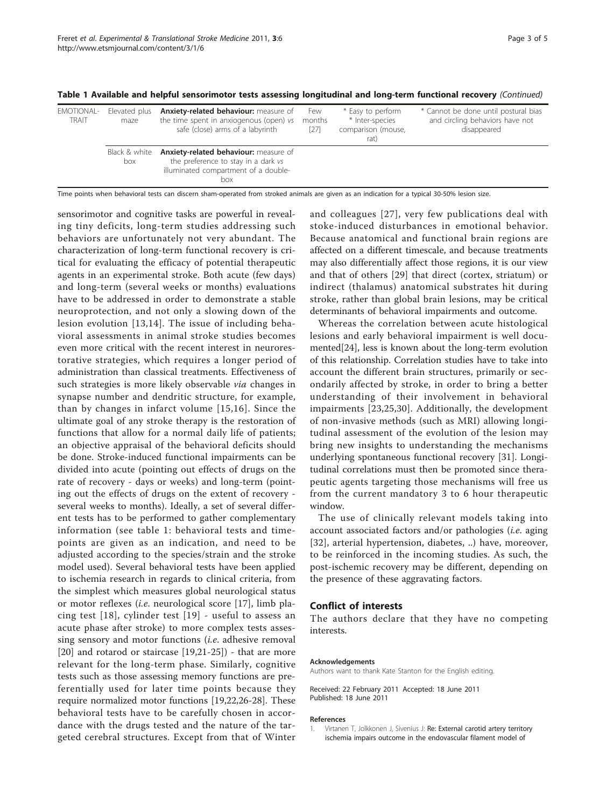| EMOTIONAL-<br><b>TRAIT</b> | Elevated plus<br>maze | Anxiety-related behaviour: measure of<br>the time spent in anxiogenous (open) vs<br>safe (close) arms of a labyrinth        | Few<br>months<br>$[27]$ | * Easy to perform<br>* Inter-species<br>comparison (mouse,<br>rat) | * Cannot be done until postural bias<br>and circling behaviors have not<br>disappeared |
|----------------------------|-----------------------|-----------------------------------------------------------------------------------------------------------------------------|-------------------------|--------------------------------------------------------------------|----------------------------------------------------------------------------------------|
|                            | Black & white<br>box  | Anxiety-related behaviour: measure of<br>the preference to stay in a dark vs<br>illuminated compartment of a double-<br>box |                         |                                                                    |                                                                                        |

<span id="page-2-0"></span>Table 1 Available and helpful sensorimotor tests assessing longitudinal and long-term functional recovery (Continued)

Time points when behavioral tests can discern sham-operated from stroked animals are given as an indication for a typical 30-50% lesion size.

sensorimotor and cognitive tasks are powerful in revealing tiny deficits, long-term studies addressing such behaviors are unfortunately not very abundant. The characterization of long-term functional recovery is critical for evaluating the efficacy of potential therapeutic agents in an experimental stroke. Both acute (few days) and long-term (several weeks or months) evaluations have to be addressed in order to demonstrate a stable neuroprotection, and not only a slowing down of the lesion evolution [[13](#page-3-0),[14](#page-3-0)]. The issue of including behavioral assessments in animal stroke studies becomes even more critical with the recent interest in neurorestorative strategies, which requires a longer period of administration than classical treatments. Effectiveness of such strategies is more likely observable *via* changes in synapse number and dendritic structure, for example, than by changes in infarct volume [[15](#page-3-0),[16](#page-3-0)]. Since the ultimate goal of any stroke therapy is the restoration of functions that allow for a normal daily life of patients; an objective appraisal of the behavioral deficits should be done. Stroke-induced functional impairments can be divided into acute (pointing out effects of drugs on the rate of recovery - days or weeks) and long-term (pointing out the effects of drugs on the extent of recovery several weeks to months). Ideally, a set of several different tests has to be performed to gather complementary information (see table [1](#page-1-0): behavioral tests and timepoints are given as an indication, and need to be adjusted according to the species/strain and the stroke model used). Several behavioral tests have been applied to ischemia research in regards to clinical criteria, from the simplest which measures global neurological status or motor reflexes (i.e. neurological score [[17\]](#page-3-0), limb placing test [[18](#page-3-0)], cylinder test [\[19\]](#page-3-0) - useful to assess an acute phase after stroke) to more complex tests assessing sensory and motor functions (i.e. adhesive removal [[20\]](#page-3-0) and rotarod or staircase [[19,21-25](#page-3-0)]) - that are more relevant for the long-term phase. Similarly, cognitive tests such as those assessing memory functions are preferentially used for later time points because they require normalized motor functions [[19](#page-3-0),[22](#page-3-0),[26](#page-3-0)-[28\]](#page-3-0). These behavioral tests have to be carefully chosen in accordance with the drugs tested and the nature of the targeted cerebral structures. Except from that of Winter

and colleagues [[27](#page-3-0)], very few publications deal with stoke-induced disturbances in emotional behavior. Because anatomical and functional brain regions are affected on a different timescale, and because treatments may also differentially affect those regions, it is our view and that of others [[29](#page-3-0)] that direct (cortex, striatum) or indirect (thalamus) anatomical substrates hit during stroke, rather than global brain lesions, may be critical determinants of behavioral impairments and outcome.

Whereas the correlation between acute histological lesions and early behavioral impairment is well documented[24], less is known about the long-term evolution of this relationship. Correlation studies have to take into account the different brain structures, primarily or secondarily affected by stroke, in order to bring a better understanding of their involvement in behavioral impairments [[23](#page-3-0),[25,30](#page-3-0)]. Additionally, the development of non-invasive methods (such as MRI) allowing longitudinal assessment of the evolution of the lesion may bring new insights to understanding the mechanisms underlying spontaneous functional recovery [[31\]](#page-3-0). Longitudinal correlations must then be promoted since therapeutic agents targeting those mechanisms will free us from the current mandatory 3 to 6 hour therapeutic window.

The use of clinically relevant models taking into account associated factors and/or pathologies (i.e. aging [32], arterial hypertension, diabetes, ..) have, moreover, to be reinforced in the incoming studies. As such, the post-ischemic recovery may be different, depending on the presence of these aggravating factors.

## Conflict of interests

The authors declare that they have no competing interests.

#### Acknowledgements

Authors want to thank Kate Stanton for the English editing.

Received: 22 February 2011 Accepted: 18 June 2011 Published: 18 June 2011

#### References

1. Virtanen T, Jolkkonen J, Sivenius J: [Re: External carotid artery territory](http://www.ncbi.nlm.nih.gov/pubmed/14671232?dopt=Abstract) [ischemia impairs outcome in the endovascular filament model of](http://www.ncbi.nlm.nih.gov/pubmed/14671232?dopt=Abstract)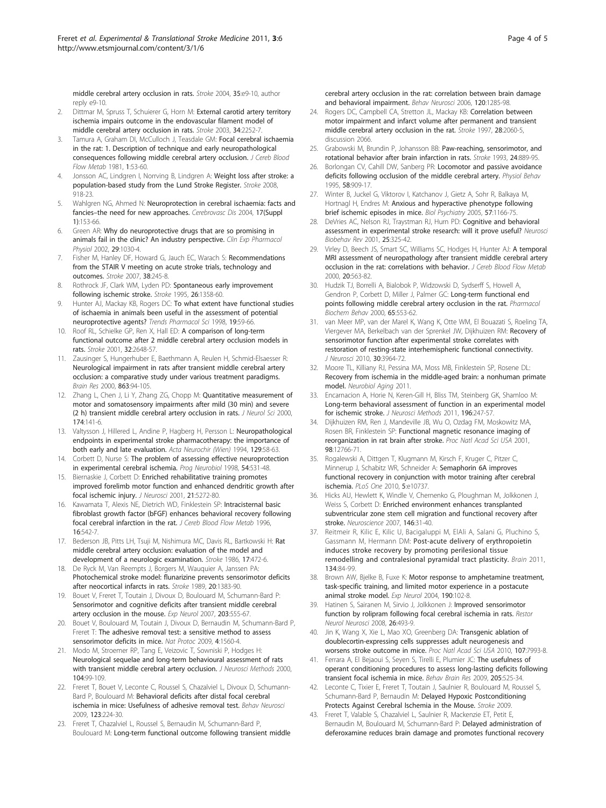<span id="page-3-0"></span>[middle cerebral artery occlusion in rats.](http://www.ncbi.nlm.nih.gov/pubmed/14671232?dopt=Abstract) Stroke 2004, 35:e9-10, author reply e9-10.

- 2. Dittmar M, Spruss T, Schuierer G, Horn M: [External carotid artery territory](http://www.ncbi.nlm.nih.gov/pubmed/12893948?dopt=Abstract) [ischemia impairs outcome in the endovascular filament model of](http://www.ncbi.nlm.nih.gov/pubmed/12893948?dopt=Abstract) [middle cerebral artery occlusion in rats.](http://www.ncbi.nlm.nih.gov/pubmed/12893948?dopt=Abstract) Stroke 2003, 34:2252-7.
- Tamura A, Graham DI, McCulloch J, Teasdale GM: [Focal cerebral ischaemia](http://www.ncbi.nlm.nih.gov/pubmed/7328138?dopt=Abstract) [in the rat: 1. Description of technique and early neuropathological](http://www.ncbi.nlm.nih.gov/pubmed/7328138?dopt=Abstract) [consequences following middle cerebral artery occlusion.](http://www.ncbi.nlm.nih.gov/pubmed/7328138?dopt=Abstract) J Cereb Blood Flow Metab 1981, 1:53-60.
- 4. Jonsson AC, Lindgren I, Norrving B, Lindgren A: Weight loss after stroke: a population-based study from the Lund Stroke Register. Stroke 2008, 918-23.
- Wahlgren NG, Ahmed N: [Neuroprotection in cerebral ischaemia: facts and](http://www.ncbi.nlm.nih.gov/pubmed/14707415?dopt=Abstract) fancies–[the need for new approaches.](http://www.ncbi.nlm.nih.gov/pubmed/14707415?dopt=Abstract) Cerebrovasc Dis 2004, 17(Suppl 1):153-66.
- Green AR: [Why do neuroprotective drugs that are so promising in](http://www.ncbi.nlm.nih.gov/pubmed/12366397?dopt=Abstract) [animals fail in the clinic? An industry perspective.](http://www.ncbi.nlm.nih.gov/pubmed/12366397?dopt=Abstract) Clin Exp Pharmacol Physiol 2002, 29:1030-4.
- 7. Fisher M, Hanley DF, Howard G, Jauch EC, Warach S: [Recommendations](http://www.ncbi.nlm.nih.gov/pubmed/17204668?dopt=Abstract) [from the STAIR V meeting on acute stroke trials, technology and](http://www.ncbi.nlm.nih.gov/pubmed/17204668?dopt=Abstract) [outcomes.](http://www.ncbi.nlm.nih.gov/pubmed/17204668?dopt=Abstract) Stroke 2007, 38:245-8.
- 8. Rothrock JF, Clark WM, Lyden PD: [Spontaneous early improvement](http://www.ncbi.nlm.nih.gov/pubmed/7631337?dopt=Abstract) [following ischemic stroke.](http://www.ncbi.nlm.nih.gov/pubmed/7631337?dopt=Abstract) Stroke 1995, 26:1358-60.
- 9. Hunter AJ, Mackay KB, Rogers DC: [To what extent have functional studies](http://www.ncbi.nlm.nih.gov/pubmed/9550943?dopt=Abstract) [of ischaemia in animals been useful in the assessment of potential](http://www.ncbi.nlm.nih.gov/pubmed/9550943?dopt=Abstract) [neuroprotective agents?](http://www.ncbi.nlm.nih.gov/pubmed/9550943?dopt=Abstract) Trends Pharmacol Sci 1998, 19:59-66.
- 10. Roof RL, Schielke GP, Ren X, Hall ED: [A comparison of long-term](http://www.ncbi.nlm.nih.gov/pubmed/11692030?dopt=Abstract) [functional outcome after 2 middle cerebral artery occlusion models in](http://www.ncbi.nlm.nih.gov/pubmed/11692030?dopt=Abstract) [rats.](http://www.ncbi.nlm.nih.gov/pubmed/11692030?dopt=Abstract) Stroke 2001, 32:2648-57.
- 11. Zausinger S, Hungerhuber E, Baethmann A, Reulen H, Schmid-Elsaesser R: [Neurological impairment in rats after transient middle cerebral artery](http://www.ncbi.nlm.nih.gov/pubmed/10773197?dopt=Abstract) [occlusion: a comparative study under various treatment paradigms.](http://www.ncbi.nlm.nih.gov/pubmed/10773197?dopt=Abstract) Brain Res 2000, 863:94-105.
- 12. Zhang L, Chen J, Li Y, Zhang ZG, Chopp M: [Quantitative measurement of](http://www.ncbi.nlm.nih.gov/pubmed/10727700?dopt=Abstract) [motor and somatosensory impairments after mild \(30 min\) and severe](http://www.ncbi.nlm.nih.gov/pubmed/10727700?dopt=Abstract) [\(2 h\) transient middle cerebral artery occlusion in rats.](http://www.ncbi.nlm.nih.gov/pubmed/10727700?dopt=Abstract) J Neurol Sci 2000, 174:141-6.
- 13. Valtysson J, Hillered L, Andine P, Hagberg H, Persson L: Neuropathological endpoints in experimental stroke pharmacotherapy: the importance of both early and late evaluation. Acta Neurochir (Wien) 1994, 129:58-63.
- 14. Corbett D, Nurse S: [The problem of assessing effective neuroprotection](http://www.ncbi.nlm.nih.gov/pubmed/9550190?dopt=Abstract) [in experimental cerebral ischemia.](http://www.ncbi.nlm.nih.gov/pubmed/9550190?dopt=Abstract) Prog Neurobiol 1998, 54:531-48.
- 15. Biernaskie J, Corbett D: [Enriched rehabilitative training promotes](http://www.ncbi.nlm.nih.gov/pubmed/11438602?dopt=Abstract) [improved forelimb motor function and enhanced dendritic growth after](http://www.ncbi.nlm.nih.gov/pubmed/11438602?dopt=Abstract) [focal ischemic injury.](http://www.ncbi.nlm.nih.gov/pubmed/11438602?dopt=Abstract) J Neurosci 2001, 21:5272-80.
- 16. Kawamata T, Alexis NE, Dietrich WD, Finklestein SP: [Intracisternal basic](http://www.ncbi.nlm.nih.gov/pubmed/8964792?dopt=Abstract) [fibroblast growth factor \(bFGF\) enhances behavioral recovery following](http://www.ncbi.nlm.nih.gov/pubmed/8964792?dopt=Abstract) [focal cerebral infarction in the rat.](http://www.ncbi.nlm.nih.gov/pubmed/8964792?dopt=Abstract) J Cereb Blood Flow Metab 1996, 16:542-7.
- 17. Bederson JB, Pitts LH, Tsuji M, Nishimura MC, Davis RL, Bartkowski H: [Rat](http://www.ncbi.nlm.nih.gov/pubmed/3715945?dopt=Abstract) [middle cerebral artery occlusion: evaluation of the model and](http://www.ncbi.nlm.nih.gov/pubmed/3715945?dopt=Abstract) [development of a neurologic examination.](http://www.ncbi.nlm.nih.gov/pubmed/3715945?dopt=Abstract) Stroke 1986, 17:472-6.
- 18. De Ryck M, Van Reempts J, Borgers M, Wauquier A, Janssen PA: [Photochemical stroke model: flunarizine prevents sensorimotor deficits](http://www.ncbi.nlm.nih.gov/pubmed/2799870?dopt=Abstract) [after neocortical infarcts in rats.](http://www.ncbi.nlm.nih.gov/pubmed/2799870?dopt=Abstract) Stroke 1989, 20:1383-90.
- 19. Bouet V, Freret T, Toutain J, Divoux D, Boulouard M, Schumann-Bard P: [Sensorimotor and cognitive deficits after transient middle cerebral](http://www.ncbi.nlm.nih.gov/pubmed/17067578?dopt=Abstract) [artery occlusion in the mouse.](http://www.ncbi.nlm.nih.gov/pubmed/17067578?dopt=Abstract) Exp Neurol 2007, 203:555-67.
- 20. Bouet V, Boulouard M, Toutain J, Divoux D, Bernaudin M, Schumann-Bard P, Freret T: [The adhesive removal test: a sensitive method to assess](http://www.ncbi.nlm.nih.gov/pubmed/19798088?dopt=Abstract) [sensorimotor deficits in mice.](http://www.ncbi.nlm.nih.gov/pubmed/19798088?dopt=Abstract) Nat Protoc 2009, 4:1560-4.
- 21. Modo M, Stroemer RP, Tang E, Veizovic T, Sowniski P, Hodges H: [Neurological sequelae and long-term behavioural assessment of rats](http://www.ncbi.nlm.nih.gov/pubmed/11163416?dopt=Abstract) [with transient middle cerebral artery occlusion.](http://www.ncbi.nlm.nih.gov/pubmed/11163416?dopt=Abstract) J Neurosci Methods 2000, 104:99-109.
- 22. Freret T, Bouet V, Leconte C, Roussel S, Chazalviel L, Divoux D, Schumann-Bard P, Boulouard M: [Behavioral deficits after distal focal cerebral](http://www.ncbi.nlm.nih.gov/pubmed/19170448?dopt=Abstract) [ischemia in mice: Usefulness of adhesive removal test.](http://www.ncbi.nlm.nih.gov/pubmed/19170448?dopt=Abstract) Behav Neurosci 2009, 123:224-30.
- 23. Freret T, Chazalviel L, Roussel S, Bernaudin M, Schumann-Bard P, Boulouard M: [Long-term functional outcome following transient middle](http://www.ncbi.nlm.nih.gov/pubmed/17201474?dopt=Abstract)

[cerebral artery occlusion in the rat: correlation between brain damage](http://www.ncbi.nlm.nih.gov/pubmed/17201474?dopt=Abstract) [and behavioral impairment.](http://www.ncbi.nlm.nih.gov/pubmed/17201474?dopt=Abstract) Behav Neurosci 2006, 120:1285-98.

- 24. Rogers DC, Campbell CA, Stretton JL, Mackay KB: [Correlation between](http://www.ncbi.nlm.nih.gov/pubmed/9341719?dopt=Abstract) [motor impairment and infarct volume after permanent and transient](http://www.ncbi.nlm.nih.gov/pubmed/9341719?dopt=Abstract) [middle cerebral artery occlusion in the rat.](http://www.ncbi.nlm.nih.gov/pubmed/9341719?dopt=Abstract) Stroke 1997, 28:2060-5, discussion 2066.
- 25. Grabowski M, Brundin P, Johansson BB: [Paw-reaching, sensorimotor, and](http://www.ncbi.nlm.nih.gov/pubmed/8506561?dopt=Abstract) [rotational behavior after brain infarction in rats.](http://www.ncbi.nlm.nih.gov/pubmed/8506561?dopt=Abstract) Stroke 1993, 24:889-95.
- 26. Borlongan CV, Cahill DW, Sanberg PR: [Locomotor and passive avoidance](http://www.ncbi.nlm.nih.gov/pubmed/8577887?dopt=Abstract) [deficits following occlusion of the middle cerebral artery.](http://www.ncbi.nlm.nih.gov/pubmed/8577887?dopt=Abstract) Physiol Behav 1995, 58:909-17.
- 27. Winter B, Juckel G, Viktorov I, Katchanov J, Gietz A, Sohr R, Balkaya M, Hortnagl H, Endres M: [Anxious and hyperactive phenotype following](http://www.ncbi.nlm.nih.gov/pubmed/15866557?dopt=Abstract) [brief ischemic episodes in mice.](http://www.ncbi.nlm.nih.gov/pubmed/15866557?dopt=Abstract) Biol Psychiatry 2005, 57:1166-75.
- 28. DeVries AC, Nelson RJ, Traystman RJ, Hurn PD: [Cognitive and behavioral](http://www.ncbi.nlm.nih.gov/pubmed/11445138?dopt=Abstract) [assessment in experimental stroke research: will it prove useful?](http://www.ncbi.nlm.nih.gov/pubmed/11445138?dopt=Abstract) Neurosci Biobehav Rev 2001, 25:325-42.
- 29. Virley D, Beech JS, Smart SC, Williams SC, Hodges H, Hunter AJ: [A temporal](http://www.ncbi.nlm.nih.gov/pubmed/10724121?dopt=Abstract) [MRI assessment of neuropathology after transient middle cerebral artery](http://www.ncbi.nlm.nih.gov/pubmed/10724121?dopt=Abstract) [occlusion in the rat: correlations with behavior.](http://www.ncbi.nlm.nih.gov/pubmed/10724121?dopt=Abstract) J Cereb Blood Flow Metab 2000, 20:563-82.
- 30. Hudzik TJ, Borrelli A, Bialobok P, Widzowski D, Sydserff S, Howell A, Gendron P, Corbett D, Miller J, Palmer GC: [Long-term functional end](http://www.ncbi.nlm.nih.gov/pubmed/10683498?dopt=Abstract) [points following middle cerebral artery occlusion in the rat.](http://www.ncbi.nlm.nih.gov/pubmed/10683498?dopt=Abstract) Pharmacol Biochem Behav 2000, 65:553-62.
- 31. van Meer MP, van der Marel K, Wang K, Otte WM, El Bouazati S, Roeling TA, Viergever MA, Berkelbach van der Sprenkel JW, Dijkhuizen RM: [Recovery of](http://www.ncbi.nlm.nih.gov/pubmed/20237267?dopt=Abstract) [sensorimotor function after experimental stroke correlates with](http://www.ncbi.nlm.nih.gov/pubmed/20237267?dopt=Abstract) [restoration of resting-state interhemispheric functional connectivity.](http://www.ncbi.nlm.nih.gov/pubmed/20237267?dopt=Abstract) J Neurosci 2010, 30:3964-72.
- 32. Moore TL, Killiany RJ, Pessina MA, Moss MB, Finklestein SP, Rosene DL: Recovery from ischemia in the middle-aged brain: a nonhuman primate model. Neurobiol Aging 2011.
- 33. Encarnacion A, Horie N, Keren-Gill H, Bliss TM, Steinberg GK, Shamloo M: [Long-term behavioral assessment of function in an experimental model](http://www.ncbi.nlm.nih.gov/pubmed/21256866?dopt=Abstract) [for ischemic stroke.](http://www.ncbi.nlm.nih.gov/pubmed/21256866?dopt=Abstract) J Neurosci Methods 2011, 196:247-57.
- 34. Dijkhuizen RM, Ren J, Mandeville JB, Wu O, Ozdag FM, Moskowitz MA, Rosen BR, Finklestein SP: [Functional magnetic resonance imaging of](http://www.ncbi.nlm.nih.gov/pubmed/11606760?dopt=Abstract) [reorganization in rat brain after stroke.](http://www.ncbi.nlm.nih.gov/pubmed/11606760?dopt=Abstract) Proc Natl Acad Sci USA 2001, 98:12766-71.
- 35. Rogalewski A, Dittgen T, Klugmann M, Kirsch F, Kruger C, Pitzer C, Minnerup J, Schabitz WR, Schneider A: [Semaphorin 6A improves](http://www.ncbi.nlm.nih.gov/pubmed/20505770?dopt=Abstract) [functional recovery in conjunction with motor training after cerebral](http://www.ncbi.nlm.nih.gov/pubmed/20505770?dopt=Abstract) [ischemia.](http://www.ncbi.nlm.nih.gov/pubmed/20505770?dopt=Abstract) PLoS One 2010, 5:e10737.
- 36. Hicks AU, Hewlett K, Windle V, Chernenko G, Ploughman M, Jolkkonen J, Weiss S, Corbett D: [Enriched environment enhances transplanted](http://www.ncbi.nlm.nih.gov/pubmed/17320299?dopt=Abstract) [subventricular zone stem cell migration and functional recovery after](http://www.ncbi.nlm.nih.gov/pubmed/17320299?dopt=Abstract) [stroke.](http://www.ncbi.nlm.nih.gov/pubmed/17320299?dopt=Abstract) Neuroscience 2007, 146:31-40.
- 37. Reitmeir R, Kilic E, Kilic U, Bacigaluppi M, ElAli A, Salani G, Pluchino S, Gassmann M, Hermann DM: [Post-acute delivery of erythropoietin](http://www.ncbi.nlm.nih.gov/pubmed/21186263?dopt=Abstract) [induces stroke recovery by promoting perilesional tissue](http://www.ncbi.nlm.nih.gov/pubmed/21186263?dopt=Abstract) [remodelling and contralesional pyramidal tract plasticity.](http://www.ncbi.nlm.nih.gov/pubmed/21186263?dopt=Abstract) Brain 2011, 134:84-99.
- 38. Brown AW, Bjelke B, Fuxe K: [Motor response to amphetamine treatment,](http://www.ncbi.nlm.nih.gov/pubmed/15473984?dopt=Abstract) [task-specific training, and limited motor experience in a postacute](http://www.ncbi.nlm.nih.gov/pubmed/15473984?dopt=Abstract) [animal stroke model.](http://www.ncbi.nlm.nih.gov/pubmed/15473984?dopt=Abstract) Exp Neurol 2004, 190:102-8.
- 39. Hatinen S, Sairanen M, Sirvio J, Jolkkonen J: [Improved sensorimotor](http://www.ncbi.nlm.nih.gov/pubmed/19096137?dopt=Abstract) [function by rolipram following focal cerebral ischemia in rats.](http://www.ncbi.nlm.nih.gov/pubmed/19096137?dopt=Abstract) Restor Neurol Neurosci 2008, 26:493-9.
- 40. Jin K, Wang X, Xie L, Mao XO, Greenberg DA: [Transgenic ablation of](http://www.ncbi.nlm.nih.gov/pubmed/20385829?dopt=Abstract) [doublecortin-expressing cells suppresses adult neurogenesis and](http://www.ncbi.nlm.nih.gov/pubmed/20385829?dopt=Abstract) [worsens stroke outcome in mice.](http://www.ncbi.nlm.nih.gov/pubmed/20385829?dopt=Abstract) Proc Natl Acad Sci USA 2010, 107:7993-8.
- 41. Ferrara A, El Bejaoui S, Seyen S, Tirelli E, Plumier JC: [The usefulness of](http://www.ncbi.nlm.nih.gov/pubmed/19686784?dopt=Abstract) [operant conditioning procedures to assess long-lasting deficits following](http://www.ncbi.nlm.nih.gov/pubmed/19686784?dopt=Abstract) [transient focal ischemia in mice.](http://www.ncbi.nlm.nih.gov/pubmed/19686784?dopt=Abstract) Behav Brain Res 2009, 205:525-34.
- 42. Leconte C, Tixier E, Freret T, Toutain J, Saulnier R, Boulouard M, Roussel S, Schumann-Bard P, Bernaudin M: Delayed Hypoxic Postconditioning Protects Against Cerebral Ischemia in the Mouse. Stroke 2009.
- 43. Freret T, Valable S, Chazalviel L, Saulnier R, Mackenzie ET, Petit E, Bernaudin M, Boulouard M, Schumann-Bard P: [Delayed administration of](http://www.ncbi.nlm.nih.gov/pubmed/16623832?dopt=Abstract) [deferoxamine reduces brain damage and promotes functional recovery](http://www.ncbi.nlm.nih.gov/pubmed/16623832?dopt=Abstract)